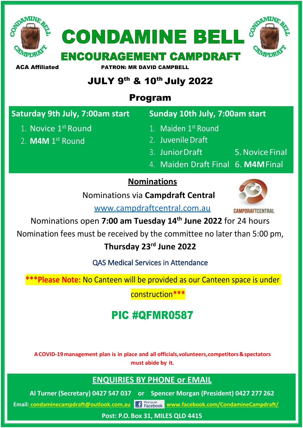

ACA Affiliated PATRON: MR DAVID CAMPBELL

### JULY 9<sup>th</sup> & 10<sup>th</sup> July 2022

### Program

| Saturday 9th July, 7:00am start | Sunday 10th July, 7:00am start     |                 |  |  |  |
|---------------------------------|------------------------------------|-----------------|--|--|--|
| 1. Novice 1st Round             | 1. Maiden 1st Round                |                 |  |  |  |
| 2. M4M 1st Round                | 2. Juvenile Draft                  |                 |  |  |  |
|                                 | 3. Junior Draft                    | 5. Novice Final |  |  |  |
|                                 | 4. Maiden Draft Final 6. M4M Final |                 |  |  |  |
|                                 |                                    |                 |  |  |  |

### **Nominations**

Nominations via **Campdraft Central**

[www.campdraftcentral.com.au](http://www.campdraftcentral.com.au/)



Nominations open **7:00 am Tuesday 14 th June 2022** for 24 hours

Nomination fees must be received by the committee no later than 5:00 pm,

**Thursday 23 rd June 2022**

QAS Medical Services in Attendance

**\*\*\*Please Note:** No Canteen will be provided as our Canteen space is under

construction**\*\*\***

# PIC #QFMR0587

**A COVID-19 management plan is in place and all officials,volunteers,competitors & spectators must abide by it.**

#### **ENQUIRIES BY PHONE or EMAIL**

**Al Turner (Secretary) 0427 547 037 or Spencer Morgan (President) 0427 277 262**

**Email: condaminecampdraft@outlook.com.au** F Fracebook WWW.facebook.com/CondamineCampdraft/

**Post: P.O. Box 31, MILES QLD 4415**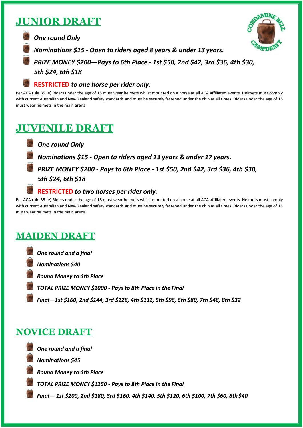### **JUNIOR DRAFT**

#### *One round Only*



*Nominations \$15 - Open to riders aged 8 years & under 13 years.*

 *PRIZE MONEY \$200—Pays to 6th Place - 1st \$50, 2nd \$42, 3rd \$36, 4th \$30, 5th \$24, 6th \$18*

#### **RESTRICTED** *to one horse per rider only.*

Per ACA rule B5 (e) Riders under the age of 18 must wear helmets whilst mounted on a horse at all ACA affiliated events. Helmets must comply with current Australian and New Zealand safety standards and must be securely fastened under the chin at all times. Riders under the age of 18 must wear helmets in the main arena.

### **JUVENILE DRAFT**

*One round Only*

*Nominations \$15 - Open to riders aged 13 years & under 17 years.*

 *PRIZE MONEY \$200 - Pays to 6th Place - 1st \$50, 2nd \$42, 3rd \$36, 4th \$30, 5th \$24, 6th \$18*

#### **RESTRICTED** *to two horses per rider only.*

Per ACA rule B5 (e) Riders under the age of 18 must wear helmets whilst mounted on a horse at all ACA affiliated events. Helmets must comply with current Australian and New Zealand safety standards and must be securely fastened under the chin at all times. Riders under the age of 18 must wear helmets in the main arena.

### **MAIDEN DRAFT**

- *One round and a final*
- *Nominations \$40*
- *Round Money to 4th Place*
- *TOTAL PRIZE MONEY \$1000 - Pays to 8th Place in the Final*
- *Final—1st \$160, 2nd \$144, 3rd \$128, 4th \$112, 5th \$96, 6th \$80, 7th \$48, 8th \$32*

### **NOVICE DRAFT**

*One round and a final* 

*Nominations \$45*

*Round Money to 4th Place*

*TOTAL PRIZE MONEY \$1250 - Pays to 8th Place in the Final*

*Final— 1st \$200, 2nd \$180, 3rd \$160, 4th \$140, 5th \$120, 6th \$100, 7th \$60, 8th\$40*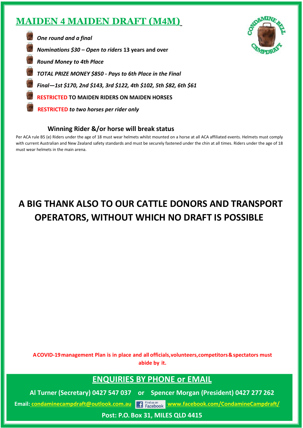#### **MAIDEN 4 MAIDEN DRAFT (M4M)**





#### **Winning Rider &/or horse will break status**

Per ACA rule B5 (e) Riders under the age of 18 must wear helmets whilst mounted on a horse at all ACA affiliated events. Helmets must comply with current Australian and New Zealand safety standards and must be securely fastened under the chin at all times. Riders under the age of 18 must wear helmets in the main arena.

# **A BIG THANK ALSO TO OUR CATTLE DONORS AND TRANSPORT OPERATORS, WITHOUT WHICH NO DRAFT IS POSSIBLE**

**A COVID-19 management Plan is in place and all officials,volunteers,competitors & spectators must abide by it.**

#### **ENQUIRIES BY PHONE or EMAIL**

**Al Turner (Secretary) 0427 547 037 or Spencer Morgan (President) 0427 277 262**

Email: **condaminecampdraft@outlook.com.au** | f Facebook www.facebook.com/CondamineCampdraft/

**Post: P.O. Box 31, MILES QLD 4415**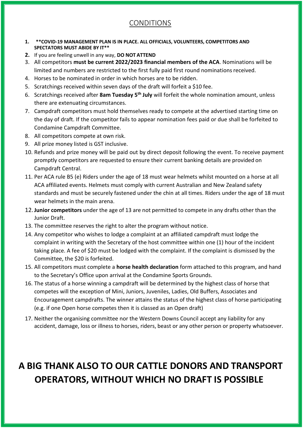#### **CONDITIONS**

- **1. \*\*COVID-19 MANAGEMENT PLAN IS IN PLACE. ALL OFFICIALS, VOLUNTEERS, COMPETITORS AND SPECTATORS MUST ABIDE BY IT\*\***
- **2.** If you are feeling unwell in any way, **DO NOT ATTEND**
- 3. All competitors **must be current 2022/2023 financial members of the ACA**. Nominations will be limited and numbers are restricted to the first fully paid first round nominations received.
- 4. Horses to be nominated in order in which horses are to be ridden.
- 5. Scratchings received within seven days of the draft will forfeit a \$10 fee.
- 6. Scratchings received after **8am Tuesday 5 th July** will forfeit the whole nomination amount, unless there are extenuating circumstances.
- 7. Campdraft competitors must hold themselves ready to compete at the advertised starting time on the day of draft. If the competitor fails to appear nomination fees paid or due shall be forfeited to Condamine Campdraft Committee.
- 8. All competitors compete at own risk.
- 9. All prize money listed is GST inclusive.
- 10. Refunds and prize money will be paid out by direct deposit following the event. To receive payment promptly competitors are requested to ensure their current banking details are provided on Campdraft Central.
- 11. Per ACA rule B5 (e) Riders under the age of 18 must wear helmets whilst mounted on a horse at all ACA affiliated events. Helmets must comply with current Australian and New Zealand safety standards and must be securely fastened under the chin at all times. Riders under the age of 18 must wear helmets in the main arena.
- 12.**Junior competitors** under the age of 13 are not permitted to compete in any drafts other than the Junior Draft.
- 13. The committee reserves the right to alter the program without notice.
- 14. Any competitor who wishes to lodge a complaint at an affiliated campdraft must lodge the complaint in writing with the Secretary of the host committee within one (1) hour of the incident taking place. A fee of \$20 must be lodged with the complaint. If the complaint is dismissed by the Committee, the \$20 is forfeited.
- 15. All competitors must complete a **horse health declaration** form attached to this program, and hand to the Secretary's Office upon arrival at the Condamine Sports Grounds.
- 16. The status of a horse winning a campdraft will be determined by the highest class of horse that competes will the exception of Mini, Juniors, Juveniles, Ladies, Old Buffers, Associates and Encouragement campdrafts. The winner attains the status of the highest class of horse participating (e.g. if one Open horse competes then it is classed as an Open draft)
- 17. Neither the organising committee nor the Western Downs Council accept any liability for any accident, damage, loss or illness to horses, riders, beast or any other person or property whatsoever.

# **A BIG THANK ALSO TO OUR CATTLE DONORS AND TRANSPORT OPERATORS, WITHOUT WHICH NO DRAFT IS POSSIBLE**